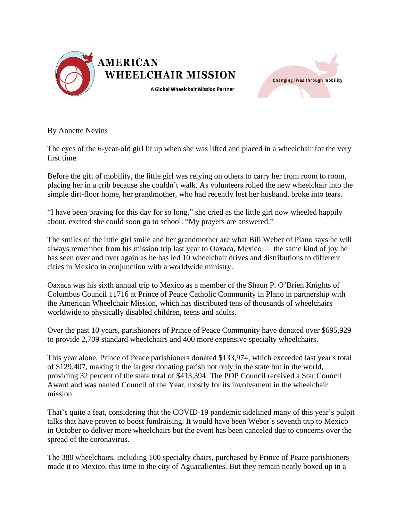



By Annette Nevins

The eyes of the 6-year-old girl lit up when she was lifted and placed in a wheelchair for the very first time.

Before the gift of mobility, the little girl was relying on others to carry her from room to room, placing her in a crib because she couldn't walk. As volunteers rolled the new wheelchair into the simple dirt-floor home, her grandmother, who had recently lost her husband, broke into tears.

"I have been praying for this day for so long," she cried as the little girl now wheeled happily about, excited she could soon go to school. "My prayers are answered."

The smiles of the little girl smile and her grandmother are what Bill Weber of Plano says he will always remember from his mission trip last year to Oaxaca, Mexico — the same kind of joy he has seen over and over again as he has led 10 wheelchair drives and distributions to different cities in Mexico in conjunction with a worldwide ministry.

Oaxaca was his sixth annual trip to Mexico as a member of the Shaun P. O'Brien Knights of Columbus Council 11716 at Prince of Peace Catholic Community in Plano in partnership with the American Wheelchair Mission, which has distributed tens of thousands of wheelchairs worldwide to physically disabled children, teens and adults.

Over the past 10 years, parishioners of Prince of Peace Community have donated over \$695,929 to provide 2,709 standard wheelchairs and 400 more expensive specialty wheelchairs.

This year alone, Prince of Peace parishioners donated \$133,974, which exceeded last year's total of \$129,407, making it the largest donating parish not only in the state but in the world, providing 32 percent of the state total of \$413,394. The POP Council received a Star Council Award and was named Council of the Year, mostly for its involvement in the wheelchair mission.

That's quite a feat, considering that the COVID-19 pandemic sidelined many of this year's pulpit talks that have proven to boost fundraising. It would have been Weber's seventh trip to Mexico in October to deliver more wheelchairs but the event has been canceled due to concerns over the spread of the coronavirus.

The 380 wheelchairs, including 100 specialty chairs, purchased by Prince of Peace parishioners made it to Mexico, this time to the city of Aguacalientes. But they remain neatly boxed up in a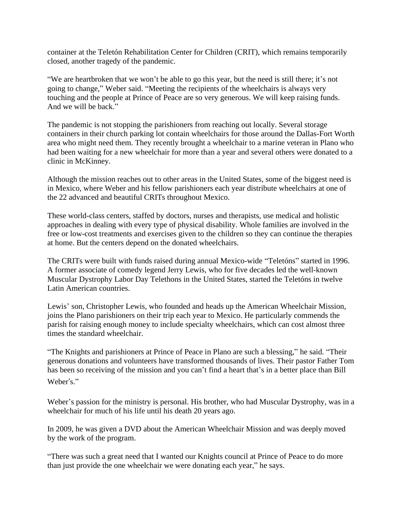container at the Teletón Rehabilitation Center for Children (CRIT), which remains temporarily closed, another tragedy of the pandemic.

"We are heartbroken that we won't be able to go this year, but the need is still there; it's not going to change," Weber said. "Meeting the recipients of the wheelchairs is always very touching and the people at Prince of Peace are so very generous. We will keep raising funds. And we will be back."

The pandemic is not stopping the parishioners from reaching out locally. Several storage containers in their church parking lot contain wheelchairs for those around the Dallas-Fort Worth area who might need them. They recently brought a wheelchair to a marine veteran in Plano who had been waiting for a new wheelchair for more than a year and several others were donated to a clinic in McKinney.

Although the mission reaches out to other areas in the United States, some of the biggest need is in Mexico, where Weber and his fellow parishioners each year distribute wheelchairs at one of the 22 advanced and beautiful CRITs throughout Mexico.

These world-class centers, staffed by doctors, nurses and therapists, use medical and holistic approaches in dealing with every type of physical disability. Whole families are involved in the free or low-cost treatments and exercises given to the children so they can continue the therapies at home. But the centers depend on the donated wheelchairs.

The CRITs were built with funds raised during annual Mexico-wide "Teletóns" started in 1996. A former associate of comedy legend Jerry Lewis, who for five decades led the well-known Muscular Dystrophy Labor Day Telethons in the United States, started the Teletóns in twelve Latin American countries.

Lewis' son, Christopher Lewis, who founded and heads up the American Wheelchair Mission, joins the Plano parishioners on their trip each year to Mexico. He particularly commends the parish for raising enough money to include specialty wheelchairs, which can cost almost three times the standard wheelchair.

"The Knights and parishioners at Prince of Peace in Plano are such a blessing," he said. "Their generous donations and volunteers have transformed thousands of lives. Their pastor Father Tom has been so receiving of the mission and you can't find a heart that's in a better place than Bill Weber's."

Weber's passion for the ministry is personal. His brother, who had Muscular Dystrophy, was in a wheelchair for much of his life until his death 20 years ago.

In 2009, he was given a DVD about the American Wheelchair Mission and was deeply moved by the work of the program.

"There was such a great need that I wanted our Knights council at Prince of Peace to do more than just provide the one wheelchair we were donating each year," he says.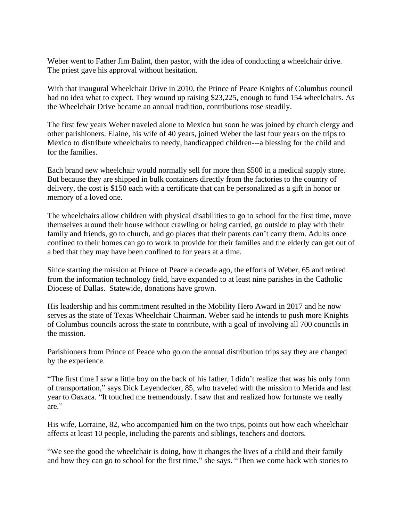Weber went to Father Jim Balint, then pastor, with the idea of conducting a wheelchair drive. The priest gave his approval without hesitation.

With that inaugural Wheelchair Drive in 2010, the Prince of Peace Knights of Columbus council had no idea what to expect. They wound up raising \$23,225, enough to fund 154 wheelchairs. As the Wheelchair Drive became an annual tradition, contributions rose steadily.

The first few years Weber traveled alone to Mexico but soon he was joined by church clergy and other parishioners. Elaine, his wife of 40 years, joined Weber the last four years on the trips to Mexico to distribute wheelchairs to needy, handicapped children---a blessing for the child and for the families.

Each brand new wheelchair would normally sell for more than \$500 in a medical supply store. But because they are shipped in bulk containers directly from the factories to the country of delivery, the cost is \$150 each with a certificate that can be personalized as a gift in honor or memory of a loved one.

The wheelchairs allow children with physical disabilities to go to school for the first time, move themselves around their house without crawling or being carried, go outside to play with their family and friends, go to church, and go places that their parents can't carry them. Adults once confined to their homes can go to work to provide for their families and the elderly can get out of a bed that they may have been confined to for years at a time.

Since starting the mission at Prince of Peace a decade ago, the efforts of Weber, 65 and retired from the information technology field, have expanded to at least nine parishes in the Catholic Diocese of Dallas. Statewide, donations have grown.

His leadership and his commitment resulted in the Mobility Hero Award in 2017 and he now serves as the state of Texas Wheelchair Chairman. Weber said he intends to push more Knights of Columbus councils across the state to contribute, with a goal of involving all 700 councils in the mission.

Parishioners from Prince of Peace who go on the annual distribution trips say they are changed by the experience.

"The first time I saw a little boy on the back of his father, I didn't realize that was his only form of transportation," says Dick Leyendecker, 85, who traveled with the mission to Merida and last year to Oaxaca. "It touched me tremendously. I saw that and realized how fortunate we really are."

His wife, Lorraine, 82, who accompanied him on the two trips, points out how each wheelchair affects at least 10 people, including the parents and siblings, teachers and doctors.

"We see the good the wheelchair is doing, how it changes the lives of a child and their family and how they can go to school for the first time," she says. "Then we come back with stories to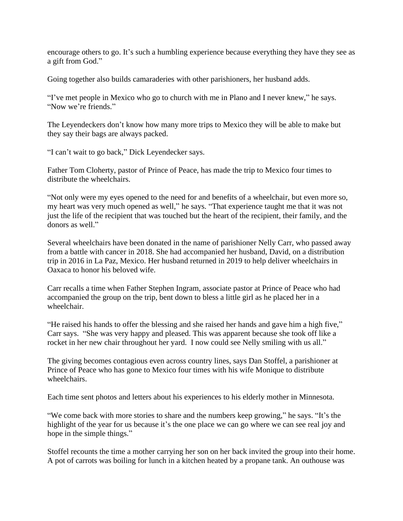encourage others to go. It's such a humbling experience because everything they have they see as a gift from God."

Going together also builds camaraderies with other parishioners, her husband adds.

"I've met people in Mexico who go to church with me in Plano and I never knew," he says. "Now we're friends."

The Leyendeckers don't know how many more trips to Mexico they will be able to make but they say their bags are always packed.

"I can't wait to go back," Dick Leyendecker says.

Father Tom Cloherty, pastor of Prince of Peace, has made the trip to Mexico four times to distribute the wheelchairs.

"Not only were my eyes opened to the need for and benefits of a wheelchair, but even more so, my heart was very much opened as well," he says. "That experience taught me that it was not just the life of the recipient that was touched but the heart of the recipient, their family, and the donors as well."

Several wheelchairs have been donated in the name of parishioner Nelly Carr, who passed away from a battle with cancer in 2018. She had accompanied her husband, David, on a distribution trip in 2016 in La Paz, Mexico. Her husband returned in 2019 to help deliver wheelchairs in Oaxaca to honor his beloved wife.

Carr recalls a time when Father Stephen Ingram, associate pastor at Prince of Peace who had accompanied the group on the trip, bent down to bless a little girl as he placed her in a wheelchair.

"He raised his hands to offer the blessing and she raised her hands and gave him a high five," Carr says. "She was very happy and pleased. This was apparent because she took off like a rocket in her new chair throughout her yard. I now could see Nelly smiling with us all."

The giving becomes contagious even across country lines, says Dan Stoffel, a parishioner at Prince of Peace who has gone to Mexico four times with his wife Monique to distribute wheelchairs.

Each time sent photos and letters about his experiences to his elderly mother in Minnesota.

"We come back with more stories to share and the numbers keep growing," he says. "It's the highlight of the year for us because it's the one place we can go where we can see real joy and hope in the simple things."

Stoffel recounts the time a mother carrying her son on her back invited the group into their home. A pot of carrots was boiling for lunch in a kitchen heated by a propane tank. An outhouse was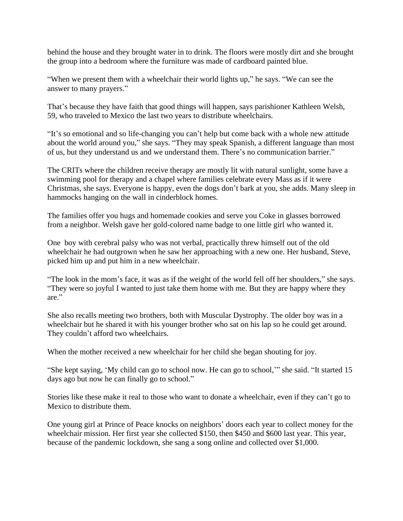behind the house and they brought water in to drink. The floors were mostly dirt and she brought the group into a bedroom where the furniture was made of cardboard painted blue.

"When we present them with a wheelchair their world lights up," he says. "We can see the answer to many prayers."

That's because they have faith that good things will happen, says parishioner Kathleen Welsh, 59, who traveled to Mexico the last two years to distribute wheelchairs.

"It's so emotional and so life-changing you can't help but come back with a whole new attitude about the world around you," she says. "They may speak Spanish, a different language than most of us, but they understand us and we understand them. There's no communication barrier."

The CRITs where the children receive therapy are mostly lit with natural sunlight, some have a swimming pool for therapy and a chapel where families celebrate every Mass as if it were Christmas, she says. Everyone is happy, even the dogs don't bark at you, she adds. Many sleep in hammocks hanging on the wall in cinderblock homes.

The families offer you hugs and homemade cookies and serve you Coke in glasses borrowed from a neighbor. Welsh gave her gold-colored name badge to one little girl who wanted it.

One boy with cerebral palsy who was not verbal, practically threw himself out of the old wheelchair he had outgrown when he saw her approaching with a new one. Her husband, Steve, picked him up and put him in a new wheelchair.

"The look in the mom's face, it was as if the weight of the world fell off her shoulders," she says. "They were so joyful I wanted to just take them home with me. But they are happy where they are."

She also recalls meeting two brothers, both with Muscular Dystrophy. The older boy was in a wheelchair but he shared it with his younger brother who sat on his lap so he could get around. They couldn't afford two wheelchairs.

When the mother received a new wheelchair for her child she began shouting for joy.

"She kept saying, 'My child can go to school now. He can go to school,'" she said. "It started 15 days ago but now he can finally go to school."

Stories like these make it real to those who want to donate a wheelchair, even if they can't go to Mexico to distribute them.

One young girl at Prince of Peace knocks on neighbors' doors each year to collect money for the wheelchair mission. Her first year she collected \$150, then \$450 and \$600 last year. This year, because of the pandemic lockdown, she sang a song online and collected over \$1,000.